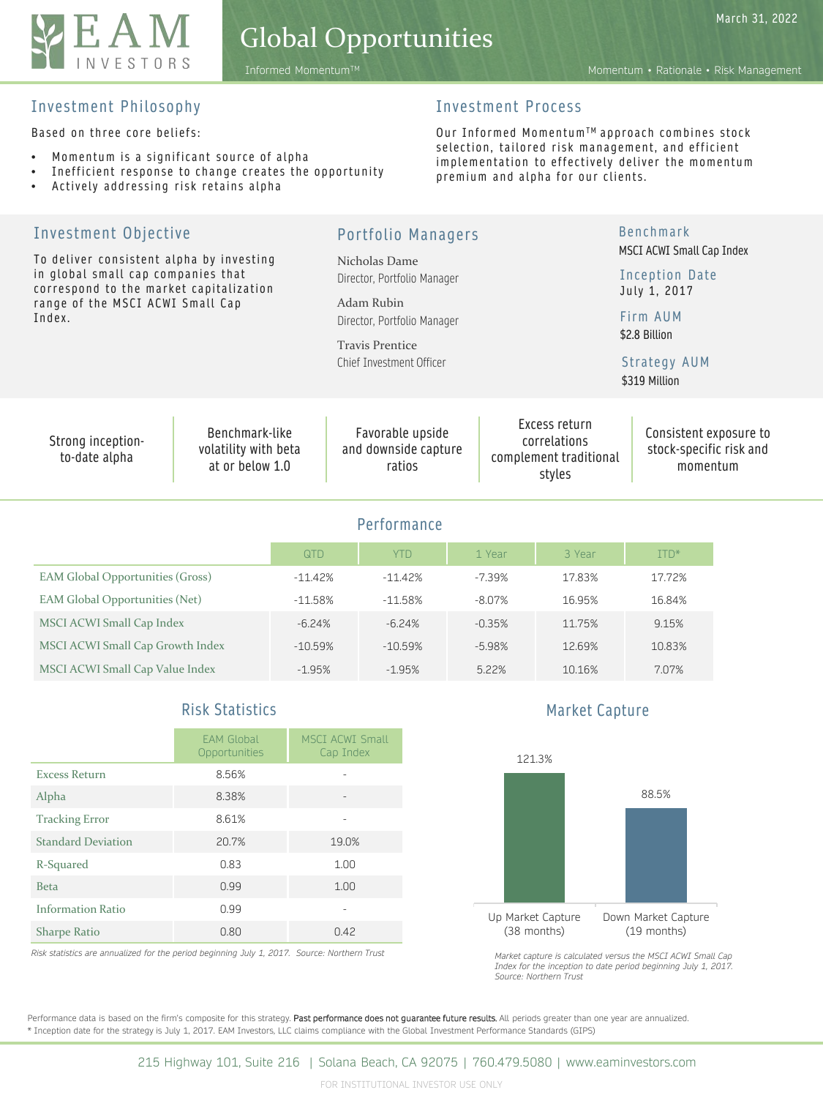

## Global Opportunities

March 31, 2022

Informed MomentumTM Momentum • Rationale • Risk Management

### Investment Philosophy

Based on three core beliefs:

- Momentum is a significant source of alpha
- Inefficient response to change creates the opportunity
- Actively addressing risk retains alpha

### Investment Process

Our Informed Momentum™ approach combines stock selection, tailored risk management, and efficient implementation to effectively deliver the momentum premium and alpha for our clients.

| Investment Objective                                                                                                      | <b>Portfolio Managers</b>                                 |           |                                              |                                                    |  |                                                                                                                                    | <b>Benchmark</b><br>MSCI ACWI Small Cap Index<br>Inception Date<br>July 1, 2017 |                           |              |  |  |
|---------------------------------------------------------------------------------------------------------------------------|-----------------------------------------------------------|-----------|----------------------------------------------|----------------------------------------------------|--|------------------------------------------------------------------------------------------------------------------------------------|---------------------------------------------------------------------------------|---------------------------|--------------|--|--|
| To deliver consistent alpha by investing<br>in global small cap companies that<br>correspond to the market capitalization |                                                           |           | Nicholas Dame<br>Director, Portfolio Manager |                                                    |  |                                                                                                                                    |                                                                                 |                           |              |  |  |
| Index.                                                                                                                    | range of the MSCI ACWI Small Cap                          |           | Adam Rubin<br>Director, Portfolio Manager    |                                                    |  |                                                                                                                                    |                                                                                 | Firm AUM<br>\$2.8 Billion |              |  |  |
|                                                                                                                           |                                                           |           |                                              | <b>Travis Prentice</b><br>Chief Investment Officer |  |                                                                                                                                    |                                                                                 | \$319 Million             | Strategy AUM |  |  |
| Strong inception-<br>to-date alpha                                                                                        | Benchmark-like<br>volatility with beta<br>at or below 1.0 |           |                                              | Favorable upside<br>and downside capture<br>ratios |  | Excess return<br>Consistent exposure to<br>correlations<br>stock-specific risk and<br>complement traditional<br>momentum<br>styles |                                                                                 |                           |              |  |  |
|                                                                                                                           |                                                           |           |                                              | Performance                                        |  |                                                                                                                                    |                                                                                 |                           |              |  |  |
|                                                                                                                           |                                                           | QTD       |                                              | <b>YTD</b>                                         |  | 1 Year                                                                                                                             | 3 Year                                                                          |                           | ITD*         |  |  |
| <b>EAM Global Opportunities (Gross)</b>                                                                                   |                                                           | $-11.42%$ |                                              | $-11.42%$                                          |  | $-7.39%$                                                                                                                           | 17.83%                                                                          |                           | 17.72%       |  |  |
| EAM Global Opportunities (Net)                                                                                            |                                                           | $-11.58%$ |                                              | $-11.58%$                                          |  | $-8.07%$                                                                                                                           | 16.95%                                                                          |                           | 16.84%       |  |  |
| MSCI ACWI Small Cap Index                                                                                                 |                                                           | $-6.24%$  |                                              | $-6.24%$                                           |  | $-0.35%$                                                                                                                           | 11.75%                                                                          |                           | 9.15%        |  |  |
| MSCI ACWI Small Cap Growth Index                                                                                          |                                                           | $-10.59%$ |                                              | $-10.59%$                                          |  | $-5.98%$                                                                                                                           | 12.69%                                                                          |                           | 10.83%       |  |  |
| MSCI ACWI Small Cap Value Index                                                                                           |                                                           | $-1.95%$  |                                              | $-1.95%$                                           |  | 5.22%                                                                                                                              | 10.16%                                                                          |                           | 7.07%        |  |  |
|                                                                                                                           |                                                           |           |                                              |                                                    |  |                                                                                                                                    |                                                                                 |                           |              |  |  |

### Risk Statistics

|                           | <b>EAM Global</b><br>Opportunities | <b>MSCI ACWI Small</b><br>Cap Index |
|---------------------------|------------------------------------|-------------------------------------|
| <b>Excess Return</b>      | 8.56%                              |                                     |
| Alpha                     | 8.38%                              |                                     |
| <b>Tracking Error</b>     | 8.61%                              |                                     |
| <b>Standard Deviation</b> | 20.7%                              | 19.0%                               |
| R-Squared                 | 0.83                               | 1.00                                |
| <b>Beta</b>               | 0.99                               | 1.00                                |
| <b>Information Ratio</b>  | 0.99                               |                                     |
| <b>Sharpe Ratio</b>       | 0.80                               | 0.42                                |

*Risk statistics are annualized for the period beginning July 1, 2017. Source: Northern Trust*

Market Capture



*Market capture is calculated versus the MSCI ACWI Small Cap Index for the inception to date period beginning July 1, 2017. Source: Northern Trust*

Performance data is based on the firm's composite for this strategy. Past performance does not guarantee future results. All periods greater than one year are annualized. \* Inception date for the strategy is July 1, 2017. EAM Investors, LLC claims compliance with the Global Investment Performance Standards (GIPS)